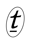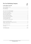# The Text Publishing Company

## **London Rights Guide 2022**

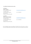### **For additional information, please contact:**

| Lara Shprem                          |                                   |
|--------------------------------------|-----------------------------------|
| <b>Rights Coordinator</b>            |                                   |
| The Text Publishing Company          | lara.shprem@textpublishing.com.au |
| Wurundjeri Country                   |                                   |
| Level 6, Royal Bank Chambers         | tel: $+61386104511$               |
| 287 Collins Street                   |                                   |
| Melbourne Victoria 3000 Australia    |                                   |
|                                      |                                   |
| <b>Anne Beilby</b>                   |                                   |
| <b>Rights and Contracts Director</b> |                                   |
| The Text Publishing Company          | anne.beilby@textpublishing.com.au |
| Wurundjeri Country                   |                                   |
| Level 6, Royal Bank Chambers         | tel: $+61386104535$               |
| 287 Collins Street                   |                                   |
| Melbourne Victoria 3000 Australia    |                                   |
|                                      |                                   |

The Text Publishing Company acknowledges the Traditional Owners of the country on which we work, the Wurundjeri people of the Kulin Nation, and pays respect to their Elders past and present.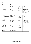## **Recent Acquisitions**

## **Children and Young Adult**

| Gale,<br>Emily<br>Weetman,<br>&<br><b>Nova</b> | Outlaw Girls              | World                       | Authors                                        |
|------------------------------------------------|---------------------------|-----------------------------|------------------------------------------------|
| He, Joan                                       | Strike the Zither duology | & Comm<br>UΚ<br>(ex Canada) | The Rights People                              |
| Laguna, Ingrid                                 | Kasia                     | World                       | Curtis Brown Australia                         |
| Laguna, Ingrid                                 | Come On, Otto             | World                       | Curtis Brown Australia                         |
| Levithan, David                                | Answers in the Pages      | ANZ                         | United Agents on behalf<br>of the Clegg Agency |

### **Adult**

| Calaby, Tara                 | Untitled historical novel           | World                    | Author                                            |
|------------------------------|-------------------------------------|--------------------------|---------------------------------------------------|
| Cave, Nick and O'Hagan, Sean | Faith, Hope and Carnage             | <b>ANZ</b>               | Canongate Books                                   |
| Darrieussecq, Marie          | Pas Dormir                          | UK & Comm (ex<br>Canada) | Editions P.O.L.                                   |
| Halloran, Jacinta            | Resistance Is Futile                | World                    | Curtis Brown Australia                            |
| Ísberg, Fríða                | Merking / The Mark                  | ANZ                      | <b>RCW Literary Agency</b>                        |
| Jones, Gail                  | Salonika Burning                    | World                    | Jane Novak Literary Agency                        |
| Kwaymullina, Ambelin         | Liar's Test and its untitled sequel | ANZ                      | Grinberg<br>Literary<br><b>Till</b><br>Management |
| Malcolm, Janet               | Pictures                            | <b>ANZ</b>               | Farrar, Straus and Giroux                         |
| Morrissey, John              | Autoc                               | World                    | Author                                            |
| Morrissey, John              | Bird Deity Alpha                    | World                    | Author                                            |
| Salasc, Emmanuelle           | Hors Gel / Alarm                    | UK & Comm (ex<br>Canada) | Editions P.O.L.                                   |
| Schwartz, Selby Wynn         | After Sappho                        | <b>ANZ</b>               | <b>Galley Beggar Press</b>                        |
| Wilson, Kevin                | Now Is Not the Time to Panic        | UK & Comm (ex<br>Canada) | Abner Stein in association<br>with The Book Group |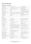# **Recent Publications**

## **Children and Young Adult**

| Arnold, David           | The Electric Kingdom                               | Writers House USA                 |
|-------------------------|----------------------------------------------------|-----------------------------------|
|                         |                                                    |                                   |
| Dabos, Christelle       | The Storm of Echoes: The Mirror Visitor, Book Four | Gallimard Jeunesse                |
|                         |                                                    |                                   |
| Kelly, Erin Entrada     | Those Kids from Fawn Creek                         | The Rights People                 |
|                         |                                                    |                                   |
| King, A.S.              | Switch                                             | Penguin Random House USA          |
|                         |                                                    |                                   |
| Meyer, Marissa          | Gilded                                             | Jill Grinberg Literary Management |
|                         |                                                    |                                   |
| Meyer, Marissa (editor) | Serendipity: Ten Romantic Tropes, Transformed      | Jill Grinberg Literary Management |
|                         |                                                    |                                   |
| Obama, Barack           | Dreams From My Father: Adapted for Young Adults    | <b>Abner Stein</b>                |
|                         |                                                    |                                   |
| Saeed, Aisha            | <b>Omar Rising</b>                                 | Penguin Random House USA          |
|                         |                                                    |                                   |
| Smith, Mark             | If Not Us                                          | Author                            |
|                         |                                                    |                                   |

## **Adult**

| Collette, Katherine           | The Competition                                                            | Jacinta di Mase Management                    |
|-------------------------------|----------------------------------------------------------------------------|-----------------------------------------------|
| Disher, Garry                 | The Way It Is Now                                                          | Jenny Darling & Associates                    |
| Down, Jennifer                | <b>Bodies of Light</b>                                                     | Author                                        |
| Durastanti, Claudia           | La Straniera / Strangers I Know                                            | Casanovas & Lynch Literary<br>Agency          |
| Fenster, Gigi                 | A Good Winter                                                              | High Spot Literary                            |
| Garner, Helen                 | How to End a Story: Diaries Volume 3                                       | Jane Novak Literary Agency                    |
| Holbe, Julia                  | Unsere glücklichen Tage / Our Happy Days                                   | Penguin Random House Germany                  |
| Jones, Kimberly               | How We Can Win: Race, History and<br>Changing the Money Game That's Rigged | Farrar, Straus and Giroux                     |
| Macrae Burnet, Graeme         | Case Study                                                                 | <b>Blake Friedmann Literary Agency</b><br>Ltd |
| McGirr, Michael               | Ideas to Save Your Life: Philosophy for<br>Wisdom, Solace and Pleasure     | Curtis Brown Australia                        |
| Melchor, Fernanda             | Páradais / Paradais                                                        | Literarische Agentur Michael Gaeb             |
| Sherborne, Craig              | The Grass Hotel                                                            | Jane Novak Literary Agency                    |
| Simsion, Graeme               | The Novel Project                                                          | Author                                        |
| Simsion, Graeme & Buist, Anne | Two Steps Onward                                                           | Authors                                       |
| Tokarczuk, Olga               | Księgi Jakubowe / The Books of Jacob                                       | <b>RCW Literary Agency</b>                    |
| Wang, Weike                   | Joan Is Okay                                                               | David Higham Associates                       |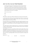## *After You Were Gone* **by Vikki Wakefield**

*Not knowing was like living inside a well with slippery sides and the occasional crack between stones, a foothold, a scrabbling place…That damned pink dress Sarah was wearing. I tortured myself, going over the things I could have changed if I had been paying attention…After Sarah*  was gone, I still yearned for answers. I moved on, but I'd built my house around the well. While *I was busy living, it sank deeper; the distance was greater, the light dimmer. This time the climb might be impossible, but I had no choice—I let myself fall.*

*My life is a story in two parts.*

*Before.*

*After.*

What happens to a family when a child goes missing? How far would you go to learn the truth?

In a busy street market, Abbie lets go of six-year-old Sarah's hand. She isn't a bad mother, just exhausted. When she turns around, her daughter isn't there. After a full-scale search and a highprofile investigation, there is still no trace of Sarah.

Six years later, Abbie is in love and getting married. Her family, despite their problems, have seen her through her worst imaginings—only Abbie's mother seems unwilling to let her move on. Her fragile peace is constantly threatened: not knowing what happened to Sarah is like living with a curse.

Then a phone call from an unknown number offers closure. A man claims to know what happened to Sarah, but if Abbie tells anyone or fails to follow instructions, she'll never find out. What price must Abbie pay to know the truth?

**Vikki Wakefield** writes fiction for young adults and adults. Her books explore family, class and relationships in a contemporary setting. Her novels *All I Ever Wanted*, *Friday Brown*, *Inbetween Days* and *Ballad for a Mad Girl* have been shortlisted for numerous awards. *This Is How We Change the Ending* was named Book of the Year: Older Readers in the 2020 Children's Book Council Awards. *After You Were Gone*, a psychological thriller, is her first novel for adults. She is working on her second one.

**Rights Held:** World

Fiction 1 October 2022 1 Manuscript available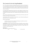# *The Carnival Is Over* **by Greg Woodland**

1971—Hal is seventeen, with dreams of escaping from Moorabool to a life in the city. But right now he's on a good-behaviour bond and stuck in a job he hates, paying off the car he 'borrowed' and crashed. Hal's packing-room job makes him a target for workplace bullies and the friendship of the older, more worldly Christine is all that makes each day bearable. So when she doesn't turn up for work, he's on the alert.

So is Sergeant Mick Goodenough. But he already knows what's happened to Christine: the same thing that happened to the newly elected deputy mayor. When another gruesome 'accident' occurs in Moorabool, Goodenough suspects there's something sinister going on behind the scenes at the abattoir.

Mick and Hal are both determined to dig up the truth. Before long each of them is going to find himself in mortal danger and running for his life.

Greg Woodland, author of the acclaimed *The Night Whistler*, returns with another nail-biting rural thriller that will have you on the edge of your seat.

Praise for Greg Woodland:

'Troubling undercurrents swirl in a seductively involving story of small-town secrets and obsessions.' Garry Disher on *The Night Whistler*

**Greg Woodland** is an author, screenwriter and former director. Since 2000 he's worked as a freelance script editor and consultant for film funding bodies and the Australian Writers' Guild and taught screenwriting at Sydney film schools and universities. His first novel, *The Night Whistler*, was shortlisted for a 2021 Ned Kelly Award.

**Rights Held:** World **Option Publishers:** France—Editions Belfond; Russia—Ast Fiction August 2022 Manuscript available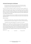# *Salonika Burning* **by Gail Jones**

*How he wished to paint it. The razed city. The human drama. He saw the old forms broken, shaped in new alignments, the destructible world abstracted in splendid innovations…Already he understood the power of derangement, and how a single window might contain an entire fate.*

Greece, 1917. The great city Salonika is ravaged by an enormous fire as Europe is engulfed by war.

Amid the destruction, there are those who have come to the frontlines to heal: surgeons, ambulance drivers, nurses, orderlies and other volunteers. Four of these people—Olive, Grace, Stella and Stanley—are at the centre of Gail Jones' extraordinary new novel, which takes its inspiration from the wartime experiences of Australians Miles Franklin and Olive King, and those of British painters Grace Pailthorpe and Stanley Spenser.

Propulsive and gripping, *Salonika Burning* is a formidable work of historical fiction that illuminates not only the devastation of war but also the social upheaval of the times. It shows Gail Jones at the height of her powers.

Praise for Gail Jones:

'Jones is one of our greatest writers—for her enormous wisdom and insight as well as the shimmering intensity of her descriptive language.' *West Australian* on *The Death of Noah Glass*

'A beautifully written and finely imagined novel.' *Weekly Times* on *Our Shadows*

**Gail Jones** is one of Australia's most celebrated writers. She is the author of two short-story collections and nine novels, and her work has been translated into several languages. She has received numerous literary awards, including the Prime Minister's Literary Award, the *Age* Book of the Year, the South Australian Premier's Award, the ALS Gold Medal and the Kibble Award, and has been shortlisted for the Miles Franklin Literary Award, the International Dublin Literary Award and the Prix Femina Étranger. Originally from Western Australia, she now lives in Sydney.

**Rights Held:** World

Fiction 1 November 2022 1 Manuscript available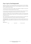# *Paper Cage* **by Tom Baragwanath**

Masterton isn't a big town. The community's tight, if not always harmonious. So when a child goes missing it's a big deal for everyone. And when a second kid disappears, the whole town's holding their own children that little bit tighter.

Lorraine doesn't have kids, but she has a nephew. She's holding him a bit tighter, too, because she works for the police, and she knows they don't have any idea.

Lo's not a cop, she's a records clerk. She sits out back among the piles of paper, making connections, remembering things. Working things out that the actual cops don't want to hear about.

Until the new investigator, Hayes, arrives from Wellington, and realises Lo's the only person there with answers to any of his questions. Which is just as well—because the clock is running down for the children of the town.

Both a nail-biting thriller and a beautifully written, acutely observed portrait of a community, *Paper Cage* is the prize-winning debut from young New Zealand novelist Tom Baragwanath.

**Tom Baragwanath** is a writer originally from Masterton, New Zealand, currently living in Paris. His short fiction has been widely published. He completed an MA in Creative Writing at Kent University in 2020.

**Rights Held:** World

Fiction Reptember 2022 Manuscript available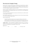# *Bootstrap* **by Georgina Young**

Jackson Sweeney is stewing in his tiny hometown, feeling stuck as he spends his days working at Al's Takeaway and fending off homophobic losers. His childhood friend Marnie returns to Ginsborough on her family's annual visit, but she's reeling from a break-up and is determined to lie low. After all, nothing ever happens in this part of the world.

But then one night an odd-looking stranger shows up: he has long black hair, a leather trench coat and the improbable name of Bootstrap. What's more, he says he's here to see the night Jackson Sweeney becomes a hero.

Soon, Sweeney and Marnie find themselves swept up in an adventure they never could have dreamt of—with a fugitive from the future.

Both a thrilling race against time and a witty contemporary love story, *Bootstrap* is the genre-bending new novel from the brilliant Georgina Young.

Praise for Georgina Young:

'Georgina Young made me squirm and swoon and sigh as I fell head over heels for the exquisite paradoxes of her protagonist. This is a book to push into the hands of everyone you know, especially those who ever had trouble knowing themselves.' Kate Mildenhall on *Loner*

**Georgina Young** is a writer and designer from Melbourne. Her first novel, *Loner*, which was published in 2020, won the Text Prize, was commended by the CBCA as a notable book for older readers, and was shortlisted for a Prime Minister's Literary Award.

**Rights Held:** World

Fiction July 2022 | Finished pages available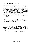## *The Secret Wife* **by Mark Lamprell**

In 1961, the day the first human went into outer space, Edith Devine moves into her brand-new suburban home—and meets her new neighbour, Frankie Heyman. Frankie is a glamorous, sophisticated foil to the quiet, clever Edith, and the two housewives become firm friends.

Then, when Frankie's domineering husband, Ralph, refuses to let her get a job, Edith hatches a plan to keep her friend's household running while Frankie secretly goes out to work—and so Edith becomes Frankie's secret wife. As Frankie builds a business empire, Edith runs both their homes: dusting, cleaning and cooking her way through the sexual revolution, the summer of love and the second wave of feminism. Throughout the 1960s, the world's great events seem to be mirrored in the lives of two women—until the day in 1969 when the first humans step out onto the surface of the moon, and Frankie and Edith face a calamitous reckoning.

*The Secret Wife* is an irresistible story of fierce love, unconditional sacrifice and the transcendent power of pulling together.

Praise for *The Secret Wife*:

'What a gorgeous pair of women Lamprell has created in Frankie and Edith. By turns heartbreaking and hilarious—*The Secret Wife* is a tender love song to a decade that changed the world.' Kathryn Heyman, author of *Fury*

'Moving, wry and powerful, Mark Lamprell's compelling new novel is laden with secrets and brimming with wit, warmth and razor-sharp observations. I loved it.' Suzanne Leal, author of *The Teacher's Secret*

**Mark Lamprell** is a writer of novels and children's books published in sixteen countries and twelve languages, including the novels *The Full Ridiculous* and *The Lovers' Guide to Rome*. He also works internationally as a writer and director in film, with movie credits including *Babe: Pig in the City, My Mother Frank, Goddess, A Few Less Men* and *Never Too Late.*

**Rights Held:** World

Fiction | April 2022 | Finished pages available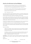## *Death at the Belvedere* **by Sue Williams**

*My shop bell rang. I glanced up, thinking it would just be Vern with another update on his Sunset-Over-The-Silos series. Vern's General Store and my shop constitute the CBD of Rusty Bore. Along with a row of much-photographed galvanised steel silos…at least by Vern.* 

*But it wasn't him. A woman—tall and slim with short, dark, spiky hair. Oversized sunglasses. She was wearing a pinstriped black trouser suit; white shirt blazing under the jacket. Long elegant legs, made even longer by soaring red heels.* 

*'Helen?' I dropped my Jex in surprise.* 

It's a mostly normal Friday evening in the Rusty Bore Takeaway. Cass Tuplin's cleaning down the grill when her glamorous sister Helen walks in, all bones in an Italian-weave suit and the kind of state that calls for the full comfort: double bacon cheeseburger with extra chips.

It's man trouble as usual. But this time it turns out the trouble is less emotional and more fatal. Helen's boyfriend has been pushed off the rooftop terrace of his Fitzroy apartment, and Helen's trying not to become a person of interest. She's also trying to retrieve something rare and valuable from Ben's place—which is where Cass comes in.

Cass doesn't do investigations anymore, of course, being unlicensed. And she's not particularly keen on breaking into a crime scene, even if it's not strictly breaking when you've got a key.

On the other hand, Helen is her only sister. And she has been getting Cass into trouble for more than forty years. Why stop now? But this time Helen's little problem will drop Cass into deeper trouble than ever before.

Praise for Sue Williams:

'Williams has put together a recipe for madcap adventure, the main ingredient an engaging female lead whose nosiness solves the mysteries of her tiny hometown.' *Adelaide Advertiser* on *Dead Men Don't Order Flake*

'Sue Williams is Australia's answer to New Jersey's Janet Evanovich. Both mix murder with mirth, and both feature semi-competent female investigators who bounce in and out of trouble…Great light entertainment.' *New Zealand Listener*

**Sue Williams** is a science and travel writer and a chartered accountant who also holds a PhD in marine biology. She was raised in country Victoria and currently lives in Melbourne with her husband.

**Rights Held:** World

Fiction June 2022 | Finished pages available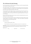# *The Settlement* **by Jock Serong**

On the windswept point of an island at the edge of van Diemen's Land, the Commandant huddles with a small force of white men and women.

He has gathered together, under varying degrees of coercion and duress, the last of the Tasmanians, or so he believes. His purpose is to save them—from a number of things, but most pressingly from the murderous intent of the pastoral settlers on their country.

The orphans Whelk and Pipi, fighting for their survival against the malevolent old man they know as the Catechist, watch as almost everything about this situation proves resistant to the Commandant's will. The wind, the spread of disease, the strange black dog that floats in on the prow of a wrecked ship…

But above all the Chief, the leader of the exiles, before whom the Commandant performs a perverse, intimate dance of violence and betrayal.

In *The Settlement*, Jock Serong reimagines in urgent, compelling prose the ill-fated exploits of George Augustus Robinson at the settlement of Wybalenna—a venture whose blinkered, self-interested cruelty might stand for the colonial enterprise itself.

Praise for Jock Serong:

'Serong is a talented storyteller.' *Booklist*

'One of Australia's most innovative and ambitious crime writers.' *New Zealand Listener*

**Jock Serong**'s novels have received the Ned Kelly Award for First Fiction, the Colin Roderick Award and the inaugural Staunch Prize (UK). He lives with his family on Victoria's far west coast.

**Rights Held:** World

Fiction 1 September 2022 Manuscript available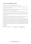## *Limberlost* **by Robbie Arnott**

A brilliant new novel by one of the brightest stars of Australian fiction.

In the heat of a long summer Ned hunts rabbits in a river valley, hoping the pelts will earn him enough money to buy a small boat.

His two brothers are away at war, their whereabouts unknown. His father and older sister struggle to hold things together on the family orchard, Limberlost.

Desperate to ignore it all—to avoid the future rushing towards him—Ned dreams of open water.

As his story unfolds over the following decades, we see how Ned's choices that summer come to shape the course of his life, the fate of his family and the future of the valley, with its seasons of death and rebirth.

The third novel by the award-winning author of *Flames* and *The Rain Heron*, *Limberlost* is an extraordinary chronicle of life and land: of carnage and kindness, blood ties and love.

**Robbie Arnott**'s acclaimed debut, *Flames* (2018), won a *Sydney Morning Herald* Best Young Novelist award and a Tasmanian Premier's Literary Prize, and was shortlisted for a Victorian Premier's Literary Award, a New South Wales Premier's Literary Award, a Queensland Literary Award, the Readings Prize for New Australian Fiction and the Not the Booker Prize. His follow-up, *The Rain Heron* (2020), won the *Age* Book of the Year award, and was shortlisted for the Miles Franklin Literary Award, the ALS Gold Medal, the Voss Literary Prize and an Adelaide Festival Award. He lives in Hobart.

**Rights Held:** World **Rights Sold:** UK and Comm. (ex. ANZ and Canada)—Atlantic; Norway—Cappelen Damm; Italy—NN Fiction  $\vert$  October 2022 | Manuscript available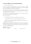## *Creative Differences* **by Graeme Simsion**

### *If not for money, then maybe for love.*

Three years ago, Emily was a struggling literary author when she met Scott, a struggling screenwriter. Combining her elegant writing with his gripping story, the pair crafted a novel that became an international bestseller—and fell in love along the way.

Now her latest manuscript is stuck, his solo novel has flopped, and their relationship is on the rocks. The situation is made even messier when an eager aspiring writer gets involved. Can Emily and Scott come together and produce another hit?

*Creative Differences* is a wry and incisive study of partnerships—in love, in writing—and creativity, from internationally bestselling author Graeme Simsion.

Praise for Graeme Simsion:

'Funny and heartwarming, a gem of a book.' Marian Keyes on *The Rosie Project*

'An extraordinarily clever, funny, and moving book...' Bill Gates on *The Rosie Project*

'Oscillates between profound emotional depths and absolute hilarity…So much fun!' Toni Collette on *The Best of Adam Sharp*

**Graeme Simsion** is the internationally bestselling author of *The Rosie Project*, *The Rosie Effect*, *The Rosie Result* and *The Best of Adam Sharp*, as well as *The Novel Project*, *Don Tillman's Standardized Meal System* and *Data Modeling Essentials*. He and Anne Buist, co-authors of *Two Steps Forward* and *Two Steps Onward*, live together in Melbourne.

**Rights Held:** World (excluding audio) **First Published:** Audible Originals

Novella October 2022 Finished pages available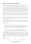# *Unknown* **by Akuch Kuol Anyieth**

A moving, confronting and ultimately uplifting story about a young girl's escape, with her family, from war-torn South Sudan to Kakuma Refugee Camp in Kenya, and then to Australia.

In 1996, when Akuch Kuol Anyieth is five, her mother flees to Kakuma with her children, intent on finding safety and freedom for her family, while her husband stays behind in South Sudan to fight in the civil war. The family spends nine years in the camp, eking out an existence amid famine, disease, unbearable heat and chronic violence. Despite their suffering, Akuch never loses hope or her sense of humour. She's a bright student who loves learning and does well at the local school.

In 2005, the family is finally granted humanitarian visas to Australia. They are on the way to paradise. But the reality of their new lives in Melbourne is complex. As Akuch's brother's behaviour spirals out of control, the family find themselves isolated and struggling with various forms of racism.

But Akuch is determined. She learns English from scratch, excels in her educational achievements and tries to live the life of a regular teenager. Above all she does everything she can to help her family emerge from the bonds of violence.

Akuch Kuol Anyieth's *Unknown* is a remarkable memoir. It's a homage to the strength of her mother in protecting her family against all the odds, a story of sadness, anger, humour, determination, survival and love.

Praise for *Unknown:*

'Akuch's story took me back to Africa, but with her strength and spirit she has become a remarkable Australian. *Unknown* offers an extraordinary insight into the refugee experience. I could not put it down.' Abdi Aden, author (with Robert Hillman) of *Shining: The Story of a Lucky Man*

'Akuch Kuol Anyieth's story is unwavering in its power, insight and grace. A riveting, necessary book.' Sarah Krasnostein, author of *The Trauma Cleaner* and *The Believer*

**Akuch Kuol Anyieth** is a graduate researcher in crime, justice and legal studies. Her research engages with masculinity and domestic violence, examining customary law, pre- and postmigration experiences of South Sudanese families and how they adapt to the western rule of law in the diaspora. She is a frequent contributor to discussions about her community. Her book *South Sudanese Manhood and Family Crisis in the Diaspora* was published in February 2021. She lives in Melbourne.

**Rights Held:** World

Non-fiction | May 2022 | Finished pages available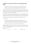## *Childless: A Story of Freedom and Longing* **by Sian Prior**

*I always wanted to have children. The earth might be in trouble—overpopulated, descending into ecological crisis—but I was always sure my kids would help make the world a better place. I would be a green-feminist supermum, having it all. Nothing turned out the way I expected.*

Like many women, Sian Prior arrived at the point where she was ready to start having babies—and found they were not hers to have. Three miscarriages with a supportive partner; a new partner who already had all the children he wanted; step-children; step-grandchildren; the decision to parent solo, followed by many rounds of fertility treatments.

After all this Sian found herself, at fifty, childless and coming to terms. Weighing up the freedoms against the losses. Dealing with the unacknowledged legacy of her own lost father. Observing parenthood itself—how we succeed at it and how we fail—from a perspective outside the trenches.

Compelling, moving, beautifully written and unexpectedly uplifting, *Childless* is her story.

Praise for *Childless*:

'An acutely observed, beautifully written and moving account of the pain—and consolations—of childlessness. *Childless* is shot through with life, joy and the willingness to face the present with a powerful and unflinching gaze. A wonderful book.' Lucy Treloar

'Honest, gentle, full of grief, joy, and wisdom. I adored this book.' Monica Dux

**Sian Prior** is a Melbourne-based writer, broadcaster, musician and creative-writing teacher. She has been an ABC radio host and a regular columnist for the *Age/Sydney Morning Herald*. Her first book, *Shy: a memoir* was published in 2014.

**Rights Held:** World

Non-fiction | April 2022 | Finished pages available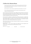## *Childhood* **by Shannon Burns**

*Things may have been good for a while, but it didn't last: they argued fiercely and he left. Weeks*  later, she tracked him down and said she was pregnant. So he moved back in with her and they *prepared themselves for parenthood.*

*Eleven months later I was born. By the time my father discovered the deception, it was too late.*

*There is something chastening about this mode of conception, about knowing that, by most standards, your beginning was aberrant.*

In this arresting memoir, Shannon Burns recalls a childhood spent bouncing between dysfunctional homes in impoverished suburbs, between families unwilling or unable to care for him. Aged nine, he beats his head against the pillow to get himself to sleep. Aged ten, he knows his mother will never be able to look after him: he is alone, and can trust no-one.

Five years later, he is working in a recycling centre—hard labour, poorly paid—yet reading offers hope. He begins reciting lines from Dante, Keats, Whitman, speeches by Martin Luther King, while sifting through the filthy cans and bottles. An affair with the mother of a schoolfriend eventually offers a way out, a path to a life utterly unlike the one he was born into.

With its clarity of purpose and vividness of expression, *Childhood* is a powerful act of remembering that is destined to be a classic.

**Shannon Burns** is a writer, critic and academic from Adelaide. His work has appeared in the *Monthly*, *Meanjin*, *Australian Book Review* and the *Sydney Review of Books*.

**Rights Held:** World

Non-fiction October 2022 Manuscript available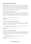## **The works of Helen Garner**

**Helen Garner** writes novels, stories, screenplays and works of non-fiction. In 2006 she received the inaugural Melbourne Prize for Literature, and in 2016 she won the prestigious Windham–Campbell Literature Prize for non-fiction and the Western Australian Premier's Book Award. In 2019 she was honoured with the Australia Council Award for Lifetime Achievement in Literature. Her books include *Monkey Grip*, *The Children's Bach*, *Cosmo Cosmolino*, *The Spare Room*, *This House of Grief*, *Everywhere I Look*, *Yellow Notebook* and *One Day I'll Remember This*.

### *Yellow Notebook, Diaries 1978–1987*

Helen Garner has kept a diary for almost all her life. But until now, those exercise books filled with her thoughts, observations, frustrations and joys have been locked away in a laundry cupboard. Finally, Garner has invited readers into the world behind her books. Recorded with frankness, humour and steel-sharp wit, these accounts of her everyday life provide an intimate insight into the work of one of our greatest living writers.

'The sensory nature of her observations are glorious.' *Guardian*

**Rights Held:** World **Rights Sold:** NA (Pantheon); UK Comm (ex. ANZ & Canada)—W&N

### *One Day I'll Remember This, Diaries 1987–1995*

Helen Garner's second volume of diaries charts a tumultuous stage in her life as she embarks on an affair that she knows will be all-consuming, and publishes *The First Stone* into a storm of controversy. Garner reveals the inner life of a woman in love and a great writer at work.

'Helen Garner…has a poet's ear, a painter's eye and she understands profoundly and without selfpity the mystery of the tears in things.' *Australian*

**Rights Held:** World **Rights Sold:** NA (Pantheon); UK Comm (ex. ANZ & Canada)—W&N

### *How to End a Story, Diaries 1995–1998*

Helen Garner's third volume of diaries is a mesmerising account of a woman fighting to hold on to a marriage that is disintegrating. Living with an ambitious writer who is consumed by his work, and trying to find a place for her own spirit to thrive, she rails against the confines, desperate to find the truth in their relationship—and the truth of her own self.

'A shockingly relatable account of a woman trying to chip out a space to live and work…A monumental achievement.' *Harper's Bazaar*

**Rights Held:** World **Rights Sold:** NA (Pantheon); UK Comm (ex. ANZ & Canada)—W&N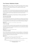## **Text Classics: Madeleine St John**

**Madeleine St John** was born in Sydney in 1941. She studied arts at Sydney University, where her contemporaries included Bruce Beresford, Clive James and Robert Hughes. She was the first Australian woman to be shortlisted for the Booker Prize. Madeleine St John died in 2006.

### *The Women in Black*

Now a major film (*The Ladies in Black*) directed by Bruce Beresford and starring Julia Ormond, Angourie Rice and Rachael Taylor, *The Women in Black* is a fairytale which illuminates the extraordinariness of ordinary lives. The women in black are run off their feet, what with the Christmas rush and the summer sales that follow. But it's Sydney in the 1950s, and there's still just enough time left on a hot day to dream and scheme…

**Rights Held:** World

**Rights Sold:** France—Albin Michel; Germany—S. Fischer Verlag; Israel—Tchelet; Italy—Garzanti; Netherlands—Nijgh & Van Ditmar; North America—Scribner ; Spain—Planeta; UK & Comm. (ex. ANZ and Canada)—Little, Brown

### *The Essence of the Thing*

### **SHORTLISTED, 1997 BOOKER PRIZE**

A comic and tender look at the vicissitudes of love. Nicola should never have stepped out to buy that pack of cigarettes, because the man she discovers in her living room when she returns is not the Jonathan with whom she has been sharing her life—that Jonathan would never have unilaterally decided that she should 'move out'. Nicola packs her bags and sets out on the bumpy course that will take her to the essence of the thing.

**Rights Held:** World **Rights Sold:** France—Albin Michel; Italy—Garzanti; Netherlands—Nijgh & Van Ditmar

### *A Pure Clear Light*

*A Pure Clear Light* examines a marriage at the moment it goes haplessly off-track: when Simon succumbs to the temptation of his cool blond accountant and Flora heeds the cry of her reawakened faith. Ultimately, though, neither Simon nor Flora can escape the revelation that lies beyond excuses and remorse and candour, at the heart of the phenomenon called love.

**Rights Held:** World **Rights Sold:** Italy—Garzanti; Netherlands—Nijgh & Van Ditmar

### *A Stairway to Paradise*

Here is the eternal triangle, the story of three people—Alex, Andrew and Barbara—in an unhappy tangle of emotions, none able to articulate the precise quality of their longing and dissatisfaction. Are any of them truly interested in reaching the 'paradise' they claim to be seeking, or are they actually trying to avoid it? In St John's hands, what is commonplace is transformed and transcendent.

**Rights Held:** World

**Rights Sold:** Germany—S. Fischer Verlag; Italy—Garzanti; Netherlands—Nijgh & Van Ditmar

'A pocket masterpiece. A jewel.' Hilary Mantel on *The Women in Black*

'A delicious book. Funny and happy, it's like the breath of youth again.' Jane Gardam on *The Women in Black*

'Brisk, sophisticated and artful.' *New York Times Book Review* on *The Essence of the Thing*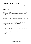# **Text Classics: Elizabeth Harrower**

Elizabeth Harrower was the celebrated author of the novels *Down in the City, The Long Prospect, The Catherine Wheel* and *The Watch Tower*—all of which have been republished as Text Classics—and *In Certain Circles*, which was published to wide acclaim in 2014 and shortlisted for the Prime Minister's Literary Award for Fiction. She died in July 2020.

### *The Watch Tower*

With its backdrop of the leafy northern suburbs of Sydney during the 1940s, *The Watch Tower* is a character study of relentless and acute psychological power.

After Laura and Clare are abandoned by their mother, Felix is there to help, even to marry Laura if she will have him. Little by little the two sisters grow complicit with his obsessions, his cruelty, his need to control.

**Rights Held:** World **Rights Sold:** Denmark—Lindhardt & Ringhof; France—Rivages; Germany—Aufbau; Italy—Baldini & Castoldi; Netherlands—Atlas Contact; Romania—Univers Ltd; Spain—Impedimenta; Turkey—Metis

### *In Certain Circles*

Zoe Howard is seventeen when her brother, Russell, introduces her to Stephen Quayle. Aloof and harsh, Stephen is unlike anyone she has ever met, 'a weird, irascible character out of some dense Russian novel'. His sister, Anna, is shy and thoughtful, 'a little orphan'.

Zoe and Russell, Stephen and Anna: they may come from different social worlds but all four will spend their lives moving in and out of each other's shadow.

Set amid the lush gardens and grand stone houses that line the north side of Sydney Harbour, *In Certain Circles* is an intense psychological drama about family and love, tyranny and freedom.

**Rights Held:** World **Rights Sold:** Finland—Fabriikki; France—Rivages; Germany—Aufbau; Greece—Dardanos; Italy—Baldini & Castoldi; Netherlands—Atlas Contact; Slovak—Inaque; Turkey—Metis

### *The Long Prospect*

Originally published in 1958, *The Long Prospect* was hailed by Christina Stead and has been described as second only to Patrick White's *Voss* in the ranks of postwar Australian literature.

Sharply observed, bitter and humorous, *The Long Prospect* is a story of life in an Australian industrial town. Growing up neglected in a seedy boarding house, twelve-year-old Emily Lawrence befriends Max, a middleaged scientist who encourages her to pursue her intellectual interests. Innocent Emily will face scandal, suburban snobbery and psychological torment.

**Rights Held:** World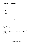# **Text Classics: Amy Witting**

Amy Witting was born in Annandale, an inner suburb of Sydney, in 1918. She attended Sydney University, then taught French and English in state schools. Beginning late in life she published six novels, including *The Visit*, *I for Isobel*, *Isobel on the Way to the Corner Shop* and *Maria's War*; two collections of short stories; two books of verse, *Travel Diary* and *Beauty Is the Straw*; and her *Collected Poems.* Witting was awarded the 1993 Patrick White Prize. She died in 2001.

### *I for Isobel*

Born into a world without welcome, Isobel observes it as warily as an alien trying to pass for a native. Her collection of imaginary friends includes the Virgin Mary and Sherlock Holmes. Later she meets Byron, W. H. Auden and T. S. Eliot.

'Amy Witting is comparable to Jean Rhys, but she has more starch, or vinegar. The effect is bracing.' *New Yorker*

*I for Isobel*, a modern-day Australian classic, was followed by *Isobel on the Way to the Corner Shop*, winner of the *Age* Book of the Year Award.

**Rights Held:** World **Rights Sold:** Italy—Garzanti; Japan—Iwanami Shoten Publishers

### *The Visit*

Amy Witting's debut novel, first published when she was almost sixty, centres on a group of Bangoree residents who gather to read plays by Beckett and Brecht. But their literary pursuits, and their lives, take an unexpected turn after it is revealed that the late Roderick Fitzallan set some of his celebrated love poems in their small country town. Who is the local mystery woman who inspired Fitzallan's verse all those years ago?

**Rights Held:** World **Rights Sold:** Italy—Garzanti

### *A Change in The Lighting*

When her husband of three decades announces he has a younger lover and wants a divorce, Ella Ferguson realises how protected her life has been—she has 'seen no evil, heard no evil and spoken no evil'. Alone, enraged, she must come to terms with her failed marriage and her relationships with her adult children. *A Change in the Lighting*, Amy Witting's third novel, is the compelling story of a woman cast adrift.

**Rights Held:** World **Rights Sold:** Italy—Garzanti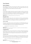## **Text Classics**

## **Helen Hodgman**

Helen Hodgman is the author of the novels *Blue Skies* (1976), *Jack and Jill* (1978; winner of the Somerset Maugham Award), *Broken Words* (1988; winner of the Christina Stead Prize), *Passing Remarks* (1996), *Waiting for Matindi* (1998) and *The Bad Policeman* (2001).

### *Blue Skies*

In Helen Hodgman's dazzlingly written debut a young woman is trapped in a small city on an island at the end of the world—by motherhood and an absent husband, by busybody in-laws and neighbours, by a drab society yet to throw off the shackles of its colonial past. A darkly funny tale of a crack-up in stultifying suburbia, *Blue Skies* marked the emergence of a unique, acerbic voice in Australian fiction.

**Rights Held:** World **Rights Sold:** Germany—Verlagsgruppe Random House; Italy—Edizioni Socrates

## **Kenneth Cook**

Kenneth Cook was born in Sydney. *Wake in Fright*, which drew on his time as a journalist in Broken Hill, was first published in 1961 when Cook was thirty-two. It was published in England and America, was translated into several languages, and became a prescribed text in schools.

## *Wake in Fright*

John Grant is a young teacher who arrives in the rough outback town of Bundanyabba planning to stay overnight before catching a plane to Sydney. But his one night stretches to five as he spirals into an alcoholic, sexual and spiritual nightmare. *Wake in Fright* is the original greatest outback horror story.

'A true dark classic of Australian literature.' J. M. Coetzee

**Rights Held:** World **Rights Sold:** Brazil—Grua Livros; Catalan—Males Herbes; France—Autrement; Italy—Enrico Damiani; Netherlands— Podium; Spain—Seix Barral; Turkey—Ayrinti

## **Craig Harrison**

Craig Harrison was born in Leeds in 1942. He left for New Zealand in 1966 after being appointed a lecturer at Massey University. There he devised a course in art history, which he taught until his retirement in 2000. His award winning plays have been performed for over twenty-five years.

## *The Quiet Earth*

John Hobson wakes one morning to find his watch stopped at 6.12. The streets are deserted, there are no signs of life or death anywhere, and every clock he finds has stopped: at 6.12. Is Hobson the last person left on the planet? Inventive and suspenseful, *The Quiet Earth* is a confronting journey into the future—and a dark past.

'Excellent…The inevitability of the horror has a Hitchcock quality.' *Listener*

**Rights Held:** World **Rights Sold:** Film—Triptych Pictures; Turkey—Ayrinti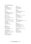### **Text Publishing Agents**

#### **Baltic Region**

Tatjana Zoldnere Andrew Nurnberg Associates PO Box 77, Riga LV 1011, Latvia Phone: +371 6 7506 495 Email: zoldnere@anab.apollo.lv

#### **Brazil**

Laura Riff The Riff Agency Avenida Calógeras, no. 6, sala 1007, Centro, Rio de Janeiro RJ, 20030-070, Brazil Phone: +55 21 2287 6299 Email: laura@agenciariff.com.br

#### **China and Taiwan**

Gray Tan The Grayhawk Agency 1F, No. 18, Lane 206, Sec 1 Daan Road, Daan Dist., Taipei 106685 Taiwan Phone: +886 2 2705 9231 Email: grayhawk@grayhawk-agency.com

#### **Czech Republic and Slovak Republic**

Kristin Olson Kristin Olson Literary Agency Klimentská 24, 110 00 Praha 1 Czech Republic Phone +420 222 582 042 Email: kristin.olson@litag.cz

#### **France**

Eliane Benisti Eliane Benisti Agency 80 Rue des Saints-Pères 75007 Paris, France Phone: +33 1 42 22 85 33 Email: eliane@elianebenisti.com

#### **German Language**

Christian Dittus [adult titles] Antonia Fritz [children's & YA titles] Paul & Peter Fritz AG Seefeldstrasse 303, CH-8008, Zürich, Switzerland Phone: +41 1 44 388 4140 Email: afritz@fritzagency.com Email: cdittus@fritzagency.com

#### **Greece**

Evangelia Avioniti Ersilia Literary Agency Phone: +30 693 8454 332 Email: info@ersilialit.com

#### **Hungary**

Peter Bolza Kátai & Bolza Literary Agents H-1056 Budapest, Szerb u. 17-19 Hungary Phone: +36 1 456 0313 Email: peter@kataibolza.hu

#### **Israel**

Beverley Levit The Israeli Association of Book Publishers 29 Carlebach Street Tel Aviv, 67132, Israel Phone: +972 3 5614121 (ext 123) Email: rights1@tbpai.co.il

#### **Italy**

Erica Berla Berla & Griffini Rights Agency via Gian Giacomo Mora 7, 20123 Milano, Italy Phone: +39 02 80 50 41 79 Email: berla@bgagency.it

#### **Japan**

Maiko Fujinaga Japan Uni Agency, Inc. Tokyodo Jinbacho, no. 2 Building 1-27 Kanda Jinbo-cho Chiyoda-ku, Tokyo 101-0051, Japan Phone: +81 3 3295 0301 Email: maiko.fujinaga@japanuni.co.jp

Hamish Macaskill The English Agency (Japan) Ltd. Sakuragi Bldg. 4F 6-7-3 Minami Aoyama, Minato-ku Tokyo 107-0062, Japan Phone: +81 3 3406 5385 Email: hamish@eaj.co.jp